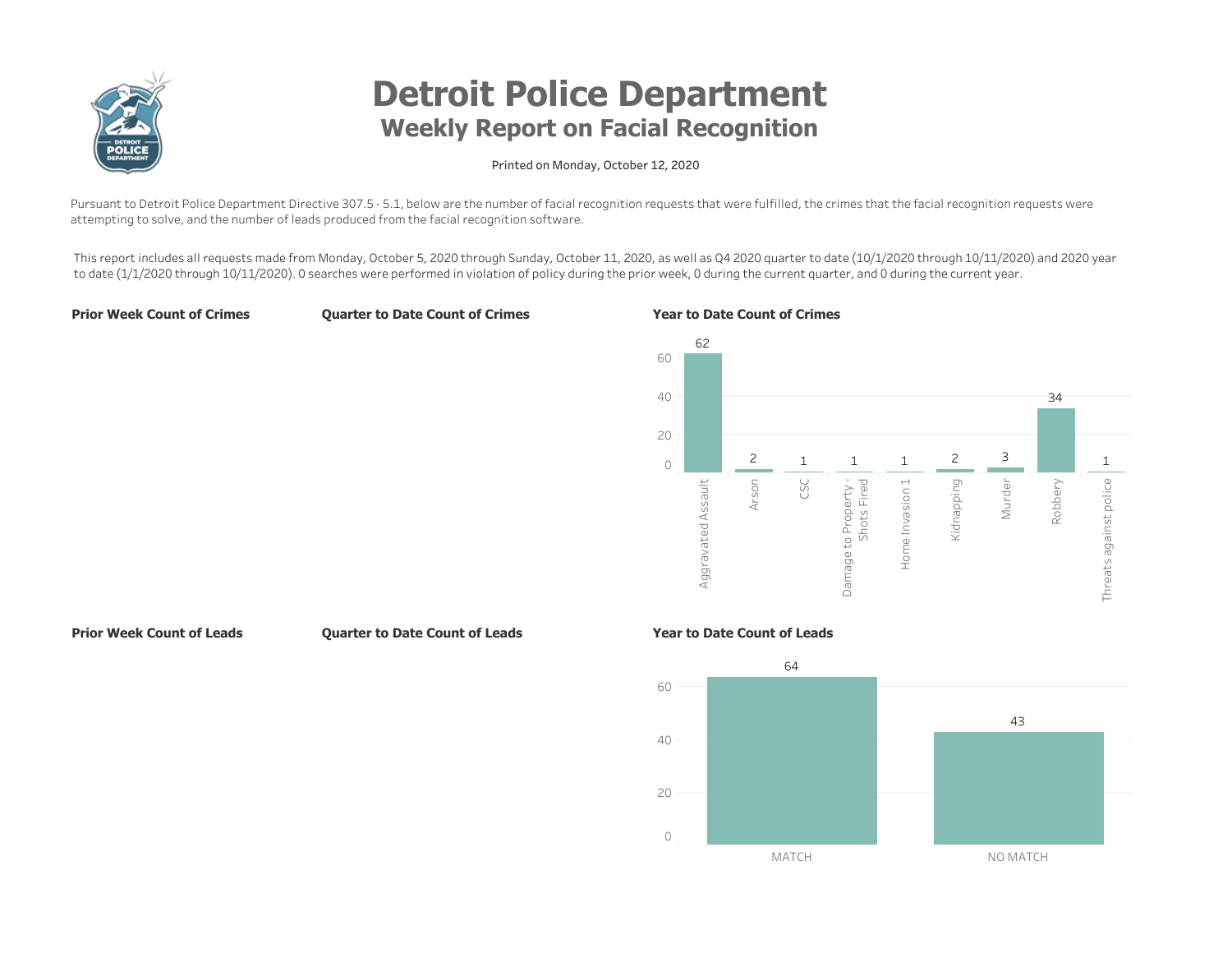

# **Detroit Police Department** Weekly Report on Facial Recognition

## Printed on Monday, October 12, 2020

Pursuant to Detroit Police Department Directive 307.5 - 5.1, below are the number of facial recognition requests that were fulfilled, the crimes that the facial recognition requests were attempting to solve, and the number of leads produced from the facial recognition software.

This report includes all requests made from Monday, October 5, 2020 through Sunday, October 11, 2020, as well as Q4 2020 quarter to date (10/1/2020 through 10/11/2020) and 2020 year to date (1/1/2020 through 10/11/2020). O searches were performed in violation of policy during the prior week, 0 during the current quarter, and 0 during the current year.

**Prior Week Count of Crimes** 

**Quarter to Date Count of Crimes** 

#### Year to Date Count of Crimes



**Prior Week Count of Leads** 

Quarter to Date Count of Leads

## Year to Date Count of Leads